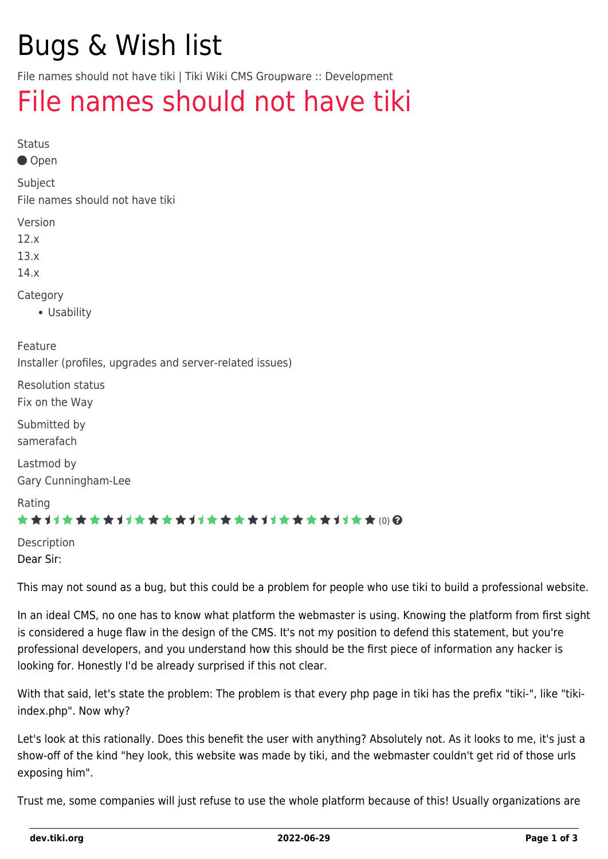# Bugs & Wish list

File names should not have tiki | Tiki Wiki CMS Groupware :: Development

## [File names should not have tiki](https://dev.tiki.org/item5555-File-names-should-not-have-tiki)

Status

Open

Subject

File names should not have tiki

Version

12.x

13.x

14.x

Category

Usability

Feature Installer (profiles, upgrades and server-related issues)

Resolution status Fix on the Way

Submitted by samerafach

Lastmod by Gary Cunningham-Lee

Rating

#### \*\*\*\*\*\*\*\*\*\*\*\*\*\*\*\*\*\*\*\*\*\*\*\*\*\*\*\*\*\*

Description Dear Sir:

This may not sound as a bug, but this could be a problem for people who use tiki to build a professional website.

In an ideal CMS, no one has to know what platform the webmaster is using. Knowing the platform from first sight is considered a huge flaw in the design of the CMS. It's not my position to defend this statement, but you're professional developers, and you understand how this should be the first piece of information any hacker is looking for. Honestly I'd be already surprised if this not clear.

With that said, let's state the problem: The problem is that every php page in tiki has the prefix "tiki-", like "tikiindex.php". Now why?

Let's look at this rationally. Does this benefit the user with anything? Absolutely not. As it looks to me, it's just a show-off of the kind "hey look, this website was made by tiki, and the webmaster couldn't get rid of those urls exposing him".

Trust me, some companies will just refuse to use the whole platform because of this! Usually organizations are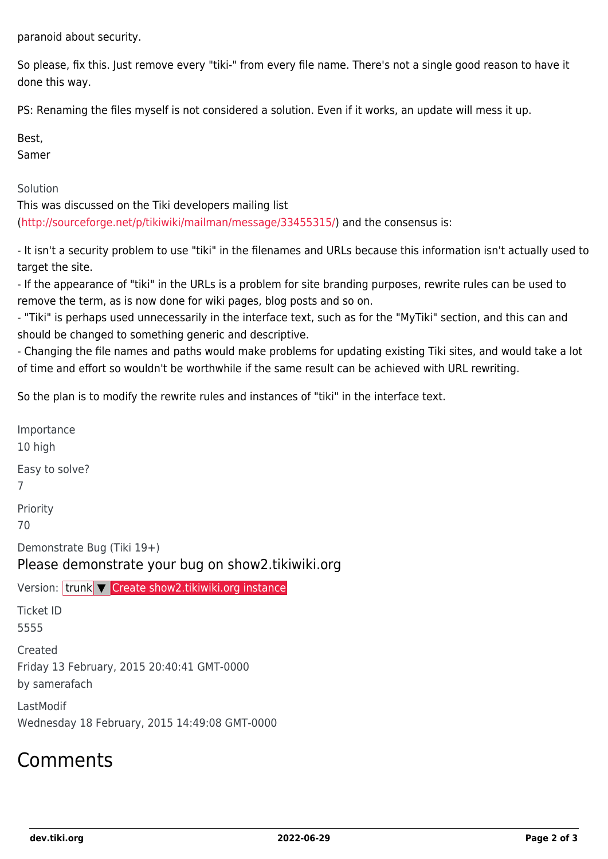paranoid about security.

So please, fix this. Just remove every "tiki-" from every file name. There's not a single good reason to have it done this way.

PS: Renaming the files myself is not considered a solution. Even if it works, an update will mess it up.

Best,

Samer

Solution

This was discussed on the Tiki developers mailing list (<http://sourceforge.net/p/tikiwiki/mailman/message/33455315/>) and the consensus is:

- It isn't a security problem to use "tiki" in the filenames and URLs because this information isn't actually used to target the site.

- If the appearance of "tiki" in the URLs is a problem for site branding purposes, rewrite rules can be used to remove the term, as is now done for wiki pages, blog posts and so on.

- "Tiki" is perhaps used unnecessarily in the interface text, such as for the "MyTiki" section, and this can and should be changed to something generic and descriptive.

- Changing the file names and paths would make problems for updating existing Tiki sites, and would take a lot of time and effort so wouldn't be worthwhile if the same result can be achieved with URL rewriting.

So the plan is to modify the rewrite rules and instances of "tiki" in the interface text.

Importance 10 high Easy to solve? 7 Priority 70 Demonstrate Bug (Tiki 19+) Please demonstrate your bug on show2.tikiwiki.org Version: trunk ▼ [Create show2.tikiwiki.org instance](#page--1-0) Ticket ID 5555 Created Friday 13 February, 2015 20:40:41 GMT-0000 by samerafach LastModif Wednesday 18 February, 2015 14:49:08 GMT-0000

### Comments